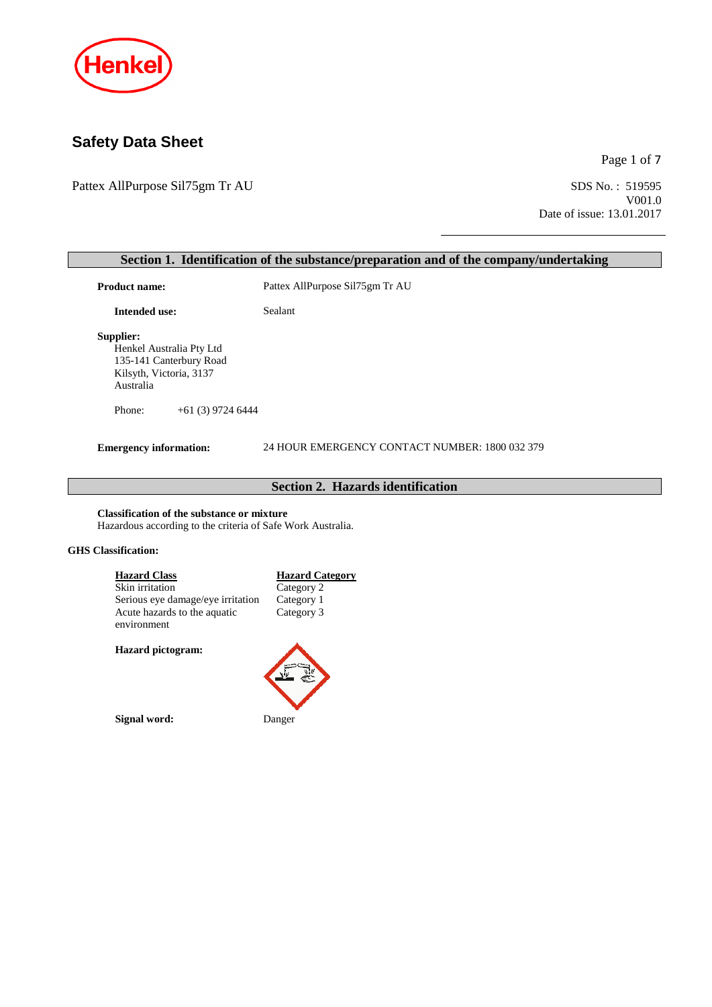

# **Safety Data Sheet**

Pattex AllPurpose Sil75gm Tr AU

Page 1 of 7

SDS No.: 519595<br>V001.0 Date of issue: 13.01.2017

| Product name:                                                                                                                                                                                                                                                                | Pattex AllPurpose Sil75gm Tr AU                                  |
|------------------------------------------------------------------------------------------------------------------------------------------------------------------------------------------------------------------------------------------------------------------------------|------------------------------------------------------------------|
| <b>Intended use:</b>                                                                                                                                                                                                                                                         | Sealant                                                          |
| Supplier:<br>Henkel Australia Pty Ltd<br>135-141 Canterbury Road<br>Kilsyth, Victoria, 3137<br>Australia                                                                                                                                                                     |                                                                  |
| Phone:<br>$+61(3)$ 9724 6444                                                                                                                                                                                                                                                 |                                                                  |
| <b>Emergency information:</b>                                                                                                                                                                                                                                                | 24 HOUR EMERGENCY CONTACT NUMBER: 1800 032 379                   |
|                                                                                                                                                                                                                                                                              |                                                                  |
|                                                                                                                                                                                                                                                                              | Section 2. Hazards identification                                |
| <b>Classification of the substance or mixture</b><br>Hazardous according to the criteria of Safe Work Australia.<br><b>GHS</b> Classification:<br><b>Hazard Class</b><br>Skin irritation<br>Serious eye damage/eye irritation<br>Acute hazards to the aquatic<br>environment | <b>Hazard Category</b><br>Category 2<br>Category 1<br>Category 3 |
| Hazard pictogram:                                                                                                                                                                                                                                                            |                                                                  |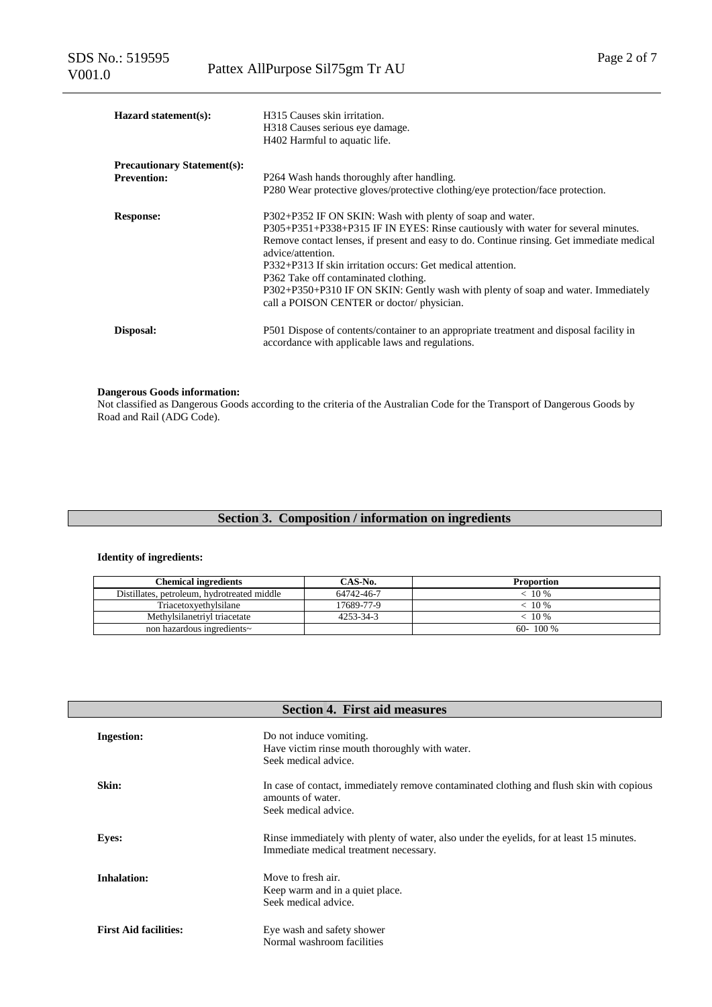| <b>Hazard statement(s):</b>                              | H315 Causes skin irritation.<br>H318 Causes serious eye damage.<br>H402 Harmful to aquatic life.                                                                                                                                                                                                                                                                                                                                                                                                         |
|----------------------------------------------------------|----------------------------------------------------------------------------------------------------------------------------------------------------------------------------------------------------------------------------------------------------------------------------------------------------------------------------------------------------------------------------------------------------------------------------------------------------------------------------------------------------------|
| <b>Precautionary Statement(s):</b><br><b>Prevention:</b> | P264 Wash hands thoroughly after handling.<br>P280 Wear protective gloves/protective clothing/eye protection/face protection.                                                                                                                                                                                                                                                                                                                                                                            |
| <b>Response:</b>                                         | P302+P352 IF ON SKIN: Wash with plenty of soap and water.<br>P305+P351+P338+P315 IF IN EYES: Rinse cautiously with water for several minutes.<br>Remove contact lenses, if present and easy to do. Continue ringing. Get immediate medical<br>advice/attention.<br>P332+P313 If skin irritation occurs: Get medical attention.<br>P362 Take off contaminated clothing.<br>P302+P350+P310 IF ON SKIN: Gently wash with plenty of soap and water. Immediately<br>call a POISON CENTER or doctor/physician. |
| Disposal:                                                | P501 Dispose of contents/container to an appropriate treatment and disposal facility in<br>accordance with applicable laws and regulations.                                                                                                                                                                                                                                                                                                                                                              |

#### **Dangerous Goods information:**

Not classified as Dangerous Goods according to the criteria of the Australian Code for the Transport of Dangerous Goods by Road and Rail (ADG Code).

# **Section 3. Composition / information on ingredients**

### **Identity of ingredients:**

| <b>Chemical ingredients</b>                 | CAS-No.    | <b>Proportion</b> |
|---------------------------------------------|------------|-------------------|
| Distillates, petroleum, hydrotreated middle | 64742-46-7 | $10\%$            |
| Triacetoxyethylsilane                       | 17689-77-9 | $10\%$            |
| Methylsilanetrivl triacetate                | 4253-34-3  | $-10\%$           |
| non hazardous ingredients~                  |            | $60 - 100\%$      |

| <b>Section 4. First aid measures</b> |                                                                                                                                       |  |  |
|--------------------------------------|---------------------------------------------------------------------------------------------------------------------------------------|--|--|
| <b>Ingestion:</b>                    | Do not induce vomiting.<br>Have victim rinse mouth thoroughly with water.<br>Seek medical advice.                                     |  |  |
| Skin:                                | In case of contact, immediately remove contaminated clothing and flush skin with copious<br>amounts of water.<br>Seek medical advice. |  |  |
| <b>Eyes:</b>                         | Rinse immediately with plenty of water, also under the eyelids, for at least 15 minutes.<br>Immediate medical treatment necessary.    |  |  |
| <b>Inhalation:</b>                   | Move to fresh air.<br>Keep warm and in a quiet place.<br>Seek medical advice.                                                         |  |  |
| <b>First Aid facilities:</b>         | Eye wash and safety shower<br>Normal washroom facilities                                                                              |  |  |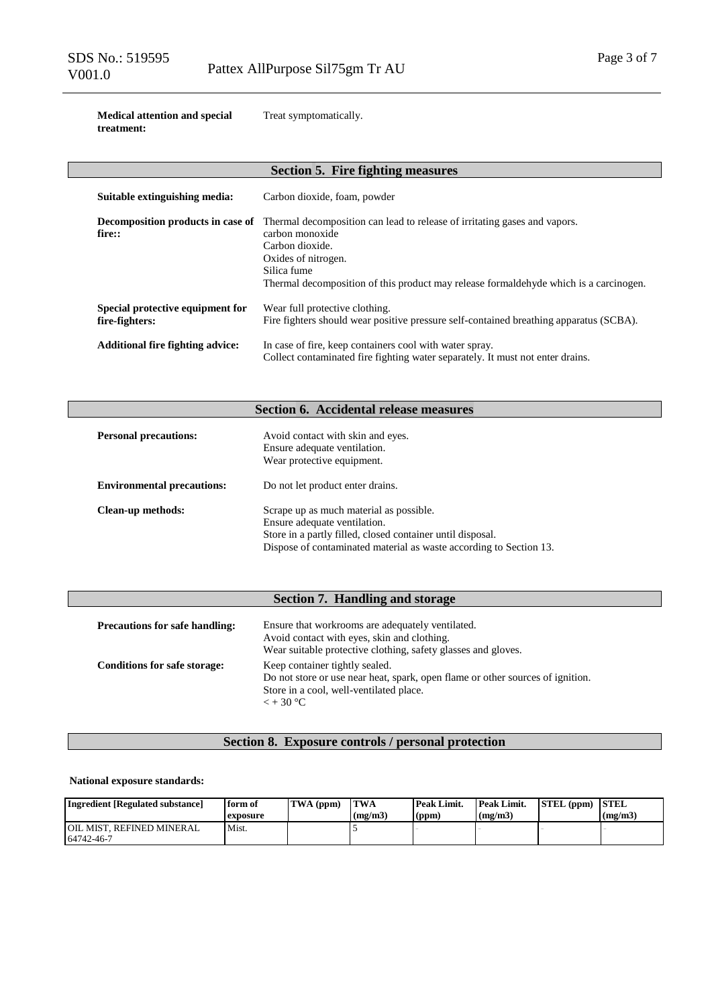**Medical attention and special treatment:**

Treat symptomatically.

| <b>Section 5. Fire fighting measures</b>           |                                                                                                                                                                                                                                                 |  |  |  |
|----------------------------------------------------|-------------------------------------------------------------------------------------------------------------------------------------------------------------------------------------------------------------------------------------------------|--|--|--|
| Suitable extinguishing media:                      | Carbon dioxide, foam, powder                                                                                                                                                                                                                    |  |  |  |
| Decomposition products in case of<br>fire::        | Thermal decomposition can lead to release of irritating gases and vapors.<br>carbon monoxide<br>Carbon dioxide.<br>Oxides of nitrogen.<br>Silica fume<br>Thermal decomposition of this product may release formal dehyde which is a carcinogen. |  |  |  |
| Special protective equipment for<br>fire-fighters: | Wear full protective clothing.<br>Fire fighters should wear positive pressure self-contained breathing apparatus (SCBA).                                                                                                                        |  |  |  |
| <b>Additional fire fighting advice:</b>            | In case of fire, keep containers cool with water spray.<br>Collect contaminated fire fighting water separately. It must not enter drains.                                                                                                       |  |  |  |

# **Section 6. Accidental release measures**

| <b>Personal precautions:</b>      | Avoid contact with skin and eyes.<br>Ensure adequate ventilation.<br>Wear protective equipment.                                                                                                             |
|-----------------------------------|-------------------------------------------------------------------------------------------------------------------------------------------------------------------------------------------------------------|
| <b>Environmental precautions:</b> | Do not let product enter drains.                                                                                                                                                                            |
| <b>Clean-up methods:</b>          | Scrape up as much material as possible.<br>Ensure adequate ventilation.<br>Store in a partly filled, closed container until disposal.<br>Dispose of contaminated material as waste according to Section 13. |

# **Section 7. Handling and storage**

| <b>Precautions for safe handling:</b> | Ensure that workrooms are adequately ventilated.<br>Avoid contact with eyes, skin and clothing.<br>Wear suitable protective clothing, safety glasses and gloves.                  |  |  |
|---------------------------------------|-----------------------------------------------------------------------------------------------------------------------------------------------------------------------------------|--|--|
| <b>Conditions for safe storage:</b>   | Keep container tightly sealed.<br>Do not store or use near heat, spark, open flame or other sources of ignition.<br>Store in a cool, well-ventilated place.<br>$\epsilon$ + 30 °C |  |  |

# **Section 8. Exposure controls / personal protection**

#### **National exposure standards:**

| Ingredient [Regulated substance]          | form of<br>exposure | TWA (ppm) | TWA<br>(mg/m3) | Peak Limit.<br>(ppm) | Peak Limit.<br>(mg/m3) | STEL (ppm) | <b>STEL</b><br>(mg/m3) |
|-------------------------------------------|---------------------|-----------|----------------|----------------------|------------------------|------------|------------------------|
| I OIL MIST. REFINED MINERAL<br>64742-46-7 | Mist.               |           |                |                      |                        |            |                        |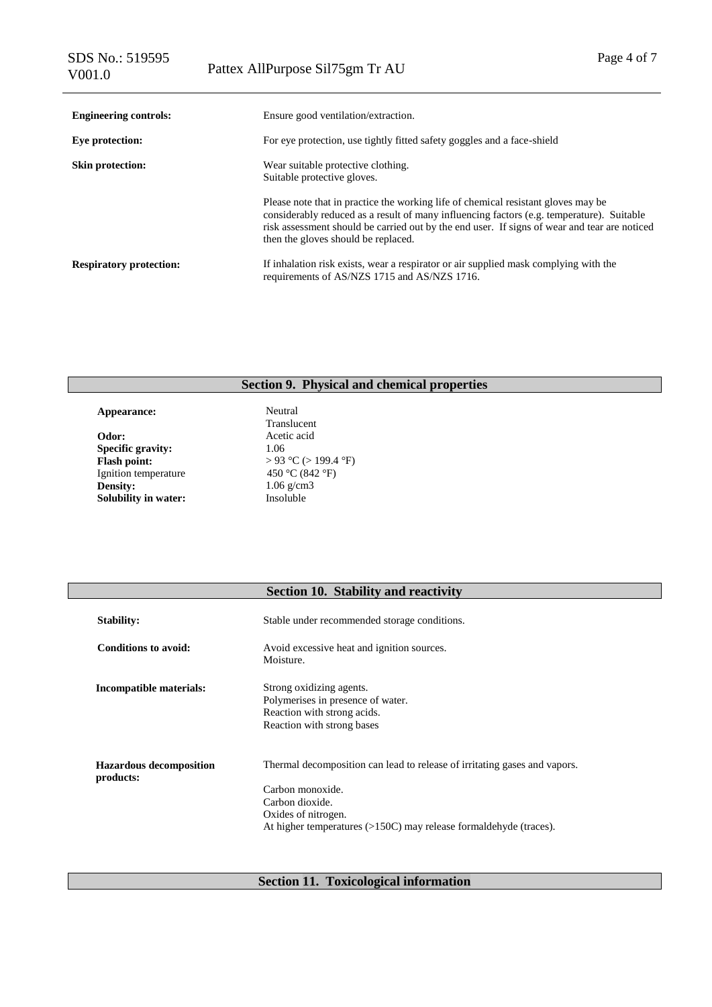| <b>Engineering controls:</b>   | Ensure good ventilation/extraction.                                                                                                                                                                                                                                                                                   |  |  |  |
|--------------------------------|-----------------------------------------------------------------------------------------------------------------------------------------------------------------------------------------------------------------------------------------------------------------------------------------------------------------------|--|--|--|
| Eye protection:                | For eye protection, use tightly fitted safety goggles and a face-shield                                                                                                                                                                                                                                               |  |  |  |
| <b>Skin protection:</b>        | Wear suitable protective clothing.<br>Suitable protective gloves.                                                                                                                                                                                                                                                     |  |  |  |
|                                | Please note that in practice the working life of chemical resistant gloves may be<br>considerably reduced as a result of many influencing factors (e.g. temperature). Suitable<br>risk assessment should be carried out by the end user. If signs of wear and tear are noticed<br>then the gloves should be replaced. |  |  |  |
| <b>Respiratory protection:</b> | If inhalation risk exists, wear a respirator or air supplied mask complying with the<br>requirements of AS/NZS 1715 and AS/NZS 1716.                                                                                                                                                                                  |  |  |  |

# **Section 9. Physical and chemical properties**

Appearance: Neutral **Odor:** Acetic acid **Specific gravity:**  $1.06$ **Specific gravity:**<br>Flash point: Ignition temperature<br>Density: **Solubility in water:** 

Translucent > 93 °C (> 199.4 °F)<br>450 °C (842 °F) 1.06 g/cm3<br>Insoluble

# **Section 10. Stability and reactivity**

| <b>Stability:</b>                           | Stable under recommended storage conditions.                                                                                                                                                                 |  |  |
|---------------------------------------------|--------------------------------------------------------------------------------------------------------------------------------------------------------------------------------------------------------------|--|--|
| Conditions to avoid:                        | Avoid excessive heat and ignition sources.<br>Moisture.                                                                                                                                                      |  |  |
| Incompatible materials:                     | Strong oxidizing agents.<br>Polymerises in presence of water.<br>Reaction with strong acids.<br>Reaction with strong bases                                                                                   |  |  |
| <b>Hazardous decomposition</b><br>products: | Thermal decomposition can lead to release of irritating gases and vapors.<br>Carbon monoxide.<br>Carbon dioxide.<br>Oxides of nitrogen.<br>At higher temperatures (>150C) may release formaldehyde (traces). |  |  |

**Section 11. Toxicological information**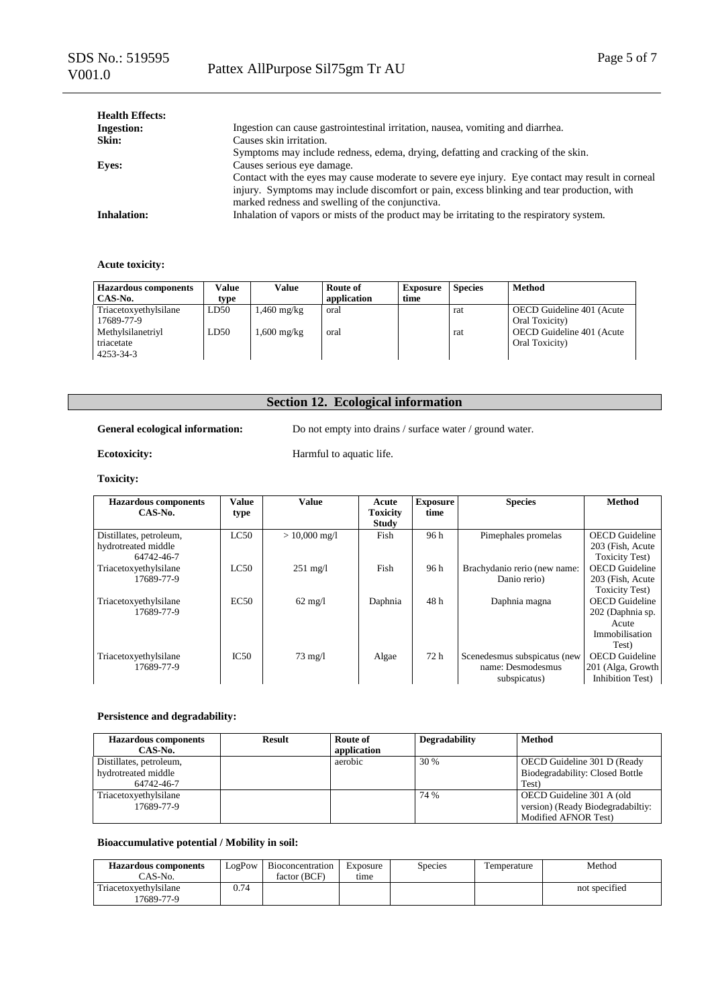| <b>Health Effects:</b> |                                                                                                  |
|------------------------|--------------------------------------------------------------------------------------------------|
| <b>Ingestion:</b>      | Ingestion can cause gastrointestinal irritation, nausea, vomiting and diarrhea.                  |
| Skin:                  | Causes skin irritation.                                                                          |
|                        | Symptoms may include redness, edema, drying, defatting and cracking of the skin.                 |
| <b>Eyes:</b>           | Causes serious eye damage.                                                                       |
|                        | Contact with the eyes may cause moderate to severe eye injury. Eye contact may result in corneal |
|                        | injury. Symptoms may include discomfort or pain, excess blinking and tear production, with       |
|                        | marked redness and swelling of the conjunctiva.                                                  |
| <b>Inhalation:</b>     | Inhalation of vapors or mists of the product may be irritating to the respiratory system.        |

#### **Acute toxicity:**

| <b>Hazardous components</b><br>CAS-No.       | Value<br>type | Value         | Route of<br>application | <b>Exposure</b><br>time | <b>Species</b> | <b>Method</b>                               |
|----------------------------------------------|---------------|---------------|-------------------------|-------------------------|----------------|---------------------------------------------|
| Triacetoxyethylsilane<br>17689-77-9          | LD50          | .460 mg/kg    | oral                    |                         | rat            | OECD Guideline 401 (Acute<br>Oral Toxicity) |
| Methylsilanetriyl<br>triacetate<br>4253-34-3 | LD50          | $1,600$ mg/kg | oral                    |                         | rat            | OECD Guideline 401 (Acute<br>Oral Toxicity) |

# **Section 12. Ecological information**

### General ecological information: Do not empty into drains / surface water / ground water.

# **Ecotoxicity:** Harmful to aquatic life.

**Toxicity:**

| <b>Hazardous</b> components | Value | <b>Value</b>       | Acute           | <b>Exposure</b> | <b>Species</b>               | <b>Method</b>          |
|-----------------------------|-------|--------------------|-----------------|-----------------|------------------------------|------------------------|
| CAS-No.                     | type  |                    | <b>Toxicity</b> | time            |                              |                        |
|                             |       |                    | <b>Study</b>    |                 |                              |                        |
| Distillates, petroleum,     | LC50  | $> 10,000$ mg/l    | Fish            | 96 h            | Pimephales promelas          | <b>OECD</b> Guideline  |
| hydrotreated middle         |       |                    |                 |                 |                              | 203 (Fish, Acute)      |
| 64742-46-7                  |       |                    |                 |                 |                              | <b>Toxicity Test</b> ) |
| Triacetoxyethylsilane       | LC50  | $251 \text{ mg}/1$ | Fish            | 96 h            | Brachydanio rerio (new name: | <b>OECD</b> Guideline  |
| 17689-77-9                  |       |                    |                 |                 | Danio rerio)                 | 203 (Fish, Acute)      |
|                             |       |                    |                 |                 |                              | <b>Toxicity Test</b> ) |
| Triacetoxyethylsilane       | EC50  | $62 \text{ mg/l}$  | Daphnia         | 48h             | Daphnia magna                | <b>OECD</b> Guideline  |
| 17689-77-9                  |       |                    |                 |                 |                              | 202 (Daphnia sp.       |
|                             |       |                    |                 |                 |                              | Acute                  |
|                             |       |                    |                 |                 |                              | Immobilisation         |
|                             |       |                    |                 |                 |                              | Test)                  |
| Triacetoxyethylsilane       | IC50  | $73 \text{ mg}/1$  | Algae           | 72 h            | Scenedesmus subspicatus (new | <b>OECD</b> Guideline  |
| 17689-77-9                  |       |                    |                 |                 | name: Desmodesmus            | 201 (Alga, Growth      |
|                             |       |                    |                 |                 | subspicatus)                 | Inhibition Test)       |

### **Persistence and degradability:**

| <b>Hazardous components</b> | <b>Result</b> | Route of    | <b>Degradability</b> | Method                            |
|-----------------------------|---------------|-------------|----------------------|-----------------------------------|
| CAS-No.                     |               | application |                      |                                   |
| Distillates, petroleum,     |               | aerobic     | 30 %                 | OECD Guideline 301 D (Ready       |
| hydrotreated middle         |               |             |                      | Biodegradability: Closed Bottle   |
| 64742-46-7                  |               |             |                      | Test)                             |
| Triacetoxyethylsilane       |               |             | 74 %                 | OECD Guideline 301 A (old         |
| 17689-77-9                  |               |             |                      | version) (Ready Biodegradabiltiy: |
|                             |               |             |                      | Modified AFNOR Test)              |

#### **Bioaccumulative potential / Mobility in soil:**

| <b>Hazardous components</b>         | <b>LogPow</b> | Bioconcentration | Exposure | <b>Species</b> | l'emperature | Method        |
|-------------------------------------|---------------|------------------|----------|----------------|--------------|---------------|
| $CAS-No.$                           |               | factor (BCF)     | tıme     |                |              |               |
| Triacetoxyethylsilane<br>17689-77-9 | ).74          |                  |          |                |              | not specified |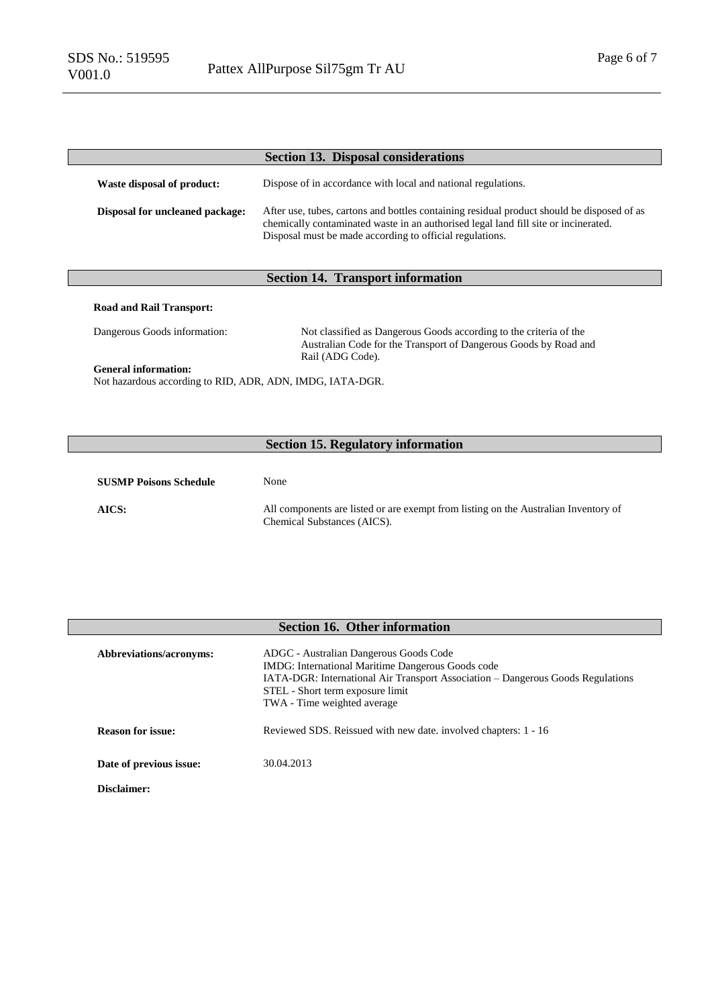|                                        | <b>Section 13. Disposal considerations</b>                                                                                                                                                                                                    |
|----------------------------------------|-----------------------------------------------------------------------------------------------------------------------------------------------------------------------------------------------------------------------------------------------|
| Waste disposal of product:             | Dispose of in accordance with local and national regulations.                                                                                                                                                                                 |
| <b>Disposal for uncleaned package:</b> | After use, tubes, cartons and bottles containing residual product should be disposed of as<br>chemically contaminated waste in an authorised legal land fill site or incinerated.<br>Disposal must be made according to official regulations. |

# **Section 14. Transport information**

### **Road and Rail Transport:**

Dangerous Goods information: Not classified as Dangerous Goods according to the criteria of the Australian Code for the Transport of Dangerous Goods by Road and Rail (ADG Code).

#### **General information:**

Not hazardous according to RID, ADR, ADN, IMDG, IATA-DGR.

# **Section 15. Regulatory information**

| <b>SUSMP Poisons Schedule</b> | None                                                                                |
|-------------------------------|-------------------------------------------------------------------------------------|
| AICS:                         | All components are listed or are exempt from listing on the Australian Inventory of |
|                               | Chemical Substances (AICS).                                                         |

| <b>Section 16. Other information</b> |                                                                                                                                                                                                                                                   |  |  |  |
|--------------------------------------|---------------------------------------------------------------------------------------------------------------------------------------------------------------------------------------------------------------------------------------------------|--|--|--|
| Abbreviations/acronyms:              | ADGC - Australian Dangerous Goods Code<br>IMDG: International Maritime Dangerous Goods code<br>IATA-DGR: International Air Transport Association – Dangerous Goods Regulations<br>STEL - Short term exposure limit<br>TWA - Time weighted average |  |  |  |
| <b>Reason for issue:</b>             | Reviewed SDS. Reissued with new date. involved chapters: 1 - 16                                                                                                                                                                                   |  |  |  |
| Date of previous issue:              | 30.04.2013                                                                                                                                                                                                                                        |  |  |  |
| Disclaimer:                          |                                                                                                                                                                                                                                                   |  |  |  |